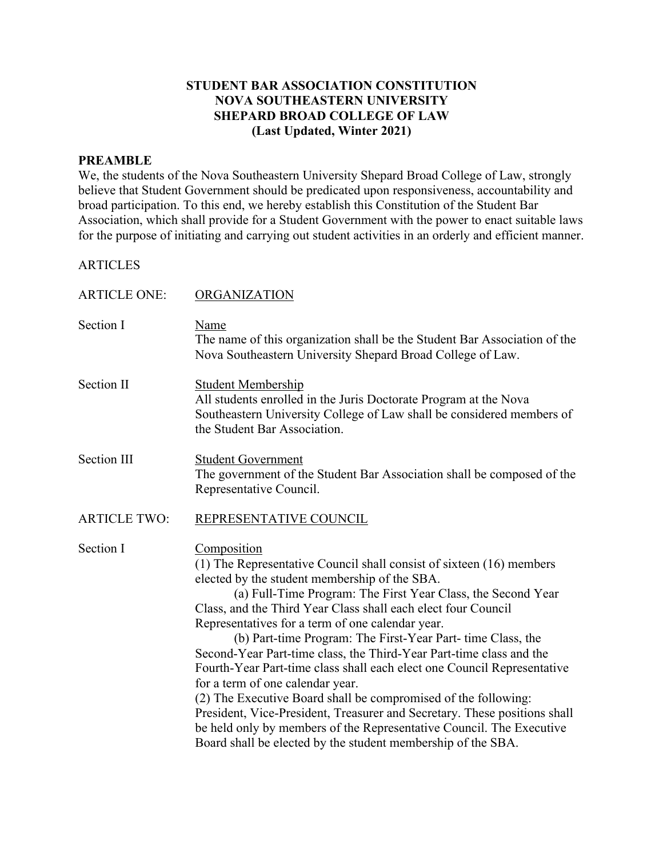# **STUDENT BAR ASSOCIATION CONSTITUTION NOVA SOUTHEASTERN UNIVERSITY SHEPARD BROAD COLLEGE OF LAW (Last Updated, Winter 2021)**

### **PREAMBLE**

We, the students of the Nova Southeastern University Shepard Broad College of Law, strongly believe that Student Government should be predicated upon responsiveness, accountability and broad participation. To this end, we hereby establish this Constitution of the Student Bar Association, which shall provide for a Student Government with the power to enact suitable laws for the purpose of initiating and carrying out student activities in an orderly and efficient manner.

# **ARTICLES**

| <b>ARTICLE ONE:</b> | ORGANIZATION                                                                                                                                                                                                                                                                                                                                                                                                                                                                                                                                                                                                                                                                                                                                                                                                                                                         |
|---------------------|----------------------------------------------------------------------------------------------------------------------------------------------------------------------------------------------------------------------------------------------------------------------------------------------------------------------------------------------------------------------------------------------------------------------------------------------------------------------------------------------------------------------------------------------------------------------------------------------------------------------------------------------------------------------------------------------------------------------------------------------------------------------------------------------------------------------------------------------------------------------|
| Section I           | Name<br>The name of this organization shall be the Student Bar Association of the<br>Nova Southeastern University Shepard Broad College of Law.                                                                                                                                                                                                                                                                                                                                                                                                                                                                                                                                                                                                                                                                                                                      |
| Section II          | <b>Student Membership</b><br>All students enrolled in the Juris Doctorate Program at the Nova<br>Southeastern University College of Law shall be considered members of<br>the Student Bar Association.                                                                                                                                                                                                                                                                                                                                                                                                                                                                                                                                                                                                                                                               |
| Section III         | <b>Student Government</b><br>The government of the Student Bar Association shall be composed of the<br>Representative Council.                                                                                                                                                                                                                                                                                                                                                                                                                                                                                                                                                                                                                                                                                                                                       |
| <b>ARTICLE TWO:</b> | REPRESENTATIVE COUNCIL                                                                                                                                                                                                                                                                                                                                                                                                                                                                                                                                                                                                                                                                                                                                                                                                                                               |
| Section I           | Composition<br>(1) The Representative Council shall consist of sixteen (16) members<br>elected by the student membership of the SBA.<br>(a) Full-Time Program: The First Year Class, the Second Year<br>Class, and the Third Year Class shall each elect four Council<br>Representatives for a term of one calendar year.<br>(b) Part-time Program: The First-Year Part-time Class, the<br>Second-Year Part-time class, the Third-Year Part-time class and the<br>Fourth-Year Part-time class shall each elect one Council Representative<br>for a term of one calendar year.<br>(2) The Executive Board shall be compromised of the following:<br>President, Vice-President, Treasurer and Secretary. These positions shall<br>be held only by members of the Representative Council. The Executive<br>Board shall be elected by the student membership of the SBA. |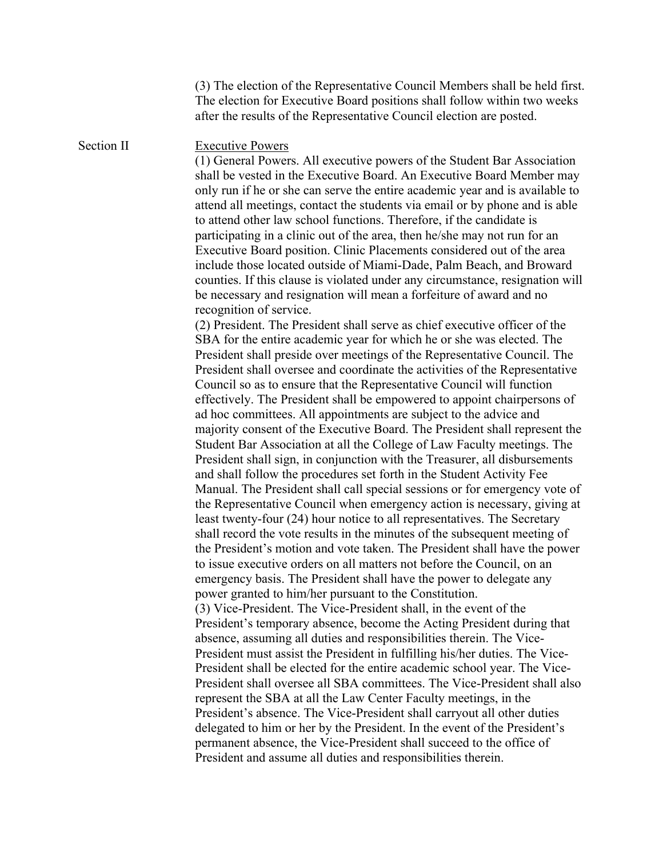(3) The election of the Representative Council Members shall be held first. The election for Executive Board positions shall follow within two weeks after the results of the Representative Council election are posted.

#### Section II Executive Powers

(1) General Powers. All executive powers of the Student Bar Association shall be vested in the Executive Board. An Executive Board Member may only run if he or she can serve the entire academic year and is available to attend all meetings, contact the students via email or by phone and is able to attend other law school functions. Therefore, if the candidate is participating in a clinic out of the area, then he/she may not run for an Executive Board position. Clinic Placements considered out of the area include those located outside of Miami-Dade, Palm Beach, and Broward counties. If this clause is violated under any circumstance, resignation will be necessary and resignation will mean a forfeiture of award and no recognition of service.

(2) President. The President shall serve as chief executive officer of the SBA for the entire academic year for which he or she was elected. The President shall preside over meetings of the Representative Council. The President shall oversee and coordinate the activities of the Representative Council so as to ensure that the Representative Council will function effectively. The President shall be empowered to appoint chairpersons of ad hoc committees. All appointments are subject to the advice and majority consent of the Executive Board. The President shall represent the Student Bar Association at all the College of Law Faculty meetings. The President shall sign, in conjunction with the Treasurer, all disbursements and shall follow the procedures set forth in the Student Activity Fee Manual. The President shall call special sessions or for emergency vote of the Representative Council when emergency action is necessary, giving at least twenty-four (24) hour notice to all representatives. The Secretary shall record the vote results in the minutes of the subsequent meeting of the President's motion and vote taken. The President shall have the power to issue executive orders on all matters not before the Council, on an emergency basis. The President shall have the power to delegate any power granted to him/her pursuant to the Constitution. (3) Vice-President. The Vice-President shall, in the event of the President's temporary absence, become the Acting President during that absence, assuming all duties and responsibilities therein. The Vice-President must assist the President in fulfilling his/her duties. The Vice-

President shall be elected for the entire academic school year. The Vice-President shall oversee all SBA committees. The Vice-President shall also represent the SBA at all the Law Center Faculty meetings, in the President's absence. The Vice-President shall carryout all other duties delegated to him or her by the President. In the event of the President's permanent absence, the Vice-President shall succeed to the office of President and assume all duties and responsibilities therein.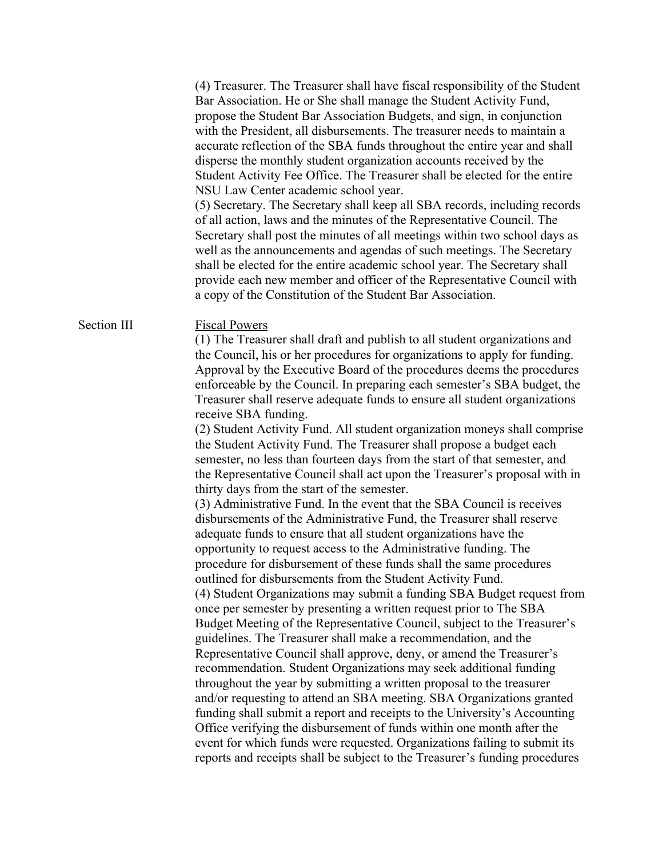(4) Treasurer. The Treasurer shall have fiscal responsibility of the Student Bar Association. He or She shall manage the Student Activity Fund, propose the Student Bar Association Budgets, and sign, in conjunction with the President, all disbursements. The treasurer needs to maintain a accurate reflection of the SBA funds throughout the entire year and shall disperse the monthly student organization accounts received by the Student Activity Fee Office. The Treasurer shall be elected for the entire NSU Law Center academic school year. (5) Secretary. The Secretary shall keep all SBA records, including records of all action, laws and the minutes of the Representative Council. The Secretary shall post the minutes of all meetings within two school days as well as the announcements and agendas of such meetings. The Secretary shall be elected for the entire academic school year. The Secretary shall provide each new member and officer of the Representative Council with a copy of the Constitution of the Student Bar Association. Section III Fiscal Powers (1) The Treasurer shall draft and publish to all student organizations and the Council, his or her procedures for organizations to apply for funding. Approval by the Executive Board of the procedures deems the procedures enforceable by the Council. In preparing each semester's SBA budget, the Treasurer shall reserve adequate funds to ensure all student organizations receive SBA funding. (2) Student Activity Fund. All student organization moneys shall comprise the Student Activity Fund. The Treasurer shall propose a budget each semester, no less than fourteen days from the start of that semester, and the Representative Council shall act upon the Treasurer's proposal with in thirty days from the start of the semester. (3) Administrative Fund. In the event that the SBA Council is receives disbursements of the Administrative Fund, the Treasurer shall reserve adequate funds to ensure that all student organizations have the opportunity to request access to the Administrative funding. The procedure for disbursement of these funds shall the same procedures outlined for disbursements from the Student Activity Fund. (4) Student Organizations may submit a funding SBA Budget request from once per semester by presenting a written request prior to The SBA Budget Meeting of the Representative Council, subject to the Treasurer's guidelines. The Treasurer shall make a recommendation, and the Representative Council shall approve, deny, or amend the Treasurer's recommendation. Student Organizations may seek additional funding throughout the year by submitting a written proposal to the treasurer and/or requesting to attend an SBA meeting. SBA Organizations granted funding shall submit a report and receipts to the University's Accounting Office verifying the disbursement of funds within one month after the event for which funds were requested. Organizations failing to submit its reports and receipts shall be subject to the Treasurer's funding procedures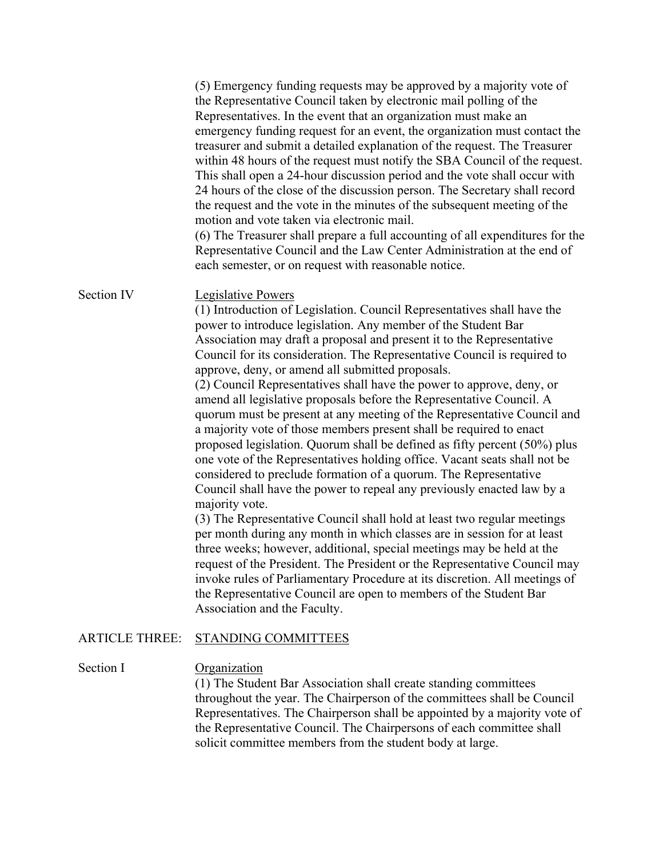|                       | (5) Emergency funding requests may be approved by a majority vote of<br>the Representative Council taken by electronic mail polling of the<br>Representatives. In the event that an organization must make an<br>emergency funding request for an event, the organization must contact the<br>treasurer and submit a detailed explanation of the request. The Treasurer<br>within 48 hours of the request must notify the SBA Council of the request.<br>This shall open a 24-hour discussion period and the vote shall occur with<br>24 hours of the close of the discussion person. The Secretary shall record<br>the request and the vote in the minutes of the subsequent meeting of the<br>motion and vote taken via electronic mail.<br>(6) The Treasurer shall prepare a full accounting of all expenditures for the<br>Representative Council and the Law Center Administration at the end of<br>each semester, or on request with reasonable notice.                                                                                                                                                                                                                                                                                                                                                                                                                                                                                                                                              |
|-----------------------|------------------------------------------------------------------------------------------------------------------------------------------------------------------------------------------------------------------------------------------------------------------------------------------------------------------------------------------------------------------------------------------------------------------------------------------------------------------------------------------------------------------------------------------------------------------------------------------------------------------------------------------------------------------------------------------------------------------------------------------------------------------------------------------------------------------------------------------------------------------------------------------------------------------------------------------------------------------------------------------------------------------------------------------------------------------------------------------------------------------------------------------------------------------------------------------------------------------------------------------------------------------------------------------------------------------------------------------------------------------------------------------------------------------------------------------------------------------------------------------------------------|
| Section IV            | <b>Legislative Powers</b><br>(1) Introduction of Legislation. Council Representatives shall have the<br>power to introduce legislation. Any member of the Student Bar<br>Association may draft a proposal and present it to the Representative<br>Council for its consideration. The Representative Council is required to<br>approve, deny, or amend all submitted proposals.<br>(2) Council Representatives shall have the power to approve, deny, or<br>amend all legislative proposals before the Representative Council. A<br>quorum must be present at any meeting of the Representative Council and<br>a majority vote of those members present shall be required to enact<br>proposed legislation. Quorum shall be defined as fifty percent (50%) plus<br>one vote of the Representatives holding office. Vacant seats shall not be<br>considered to preclude formation of a quorum. The Representative<br>Council shall have the power to repeal any previously enacted law by a<br>majority vote.<br>(3) The Representative Council shall hold at least two regular meetings<br>per month during any month in which classes are in session for at least<br>three weeks; however, additional, special meetings may be held at the<br>request of the President. The President or the Representative Council may<br>invoke rules of Parliamentary Procedure at its discretion. All meetings of<br>the Representative Council are open to members of the Student Bar<br>Association and the Faculty. |
| <b>ARTICLE THREE:</b> | <b>STANDING COMMITTEES</b>                                                                                                                                                                                                                                                                                                                                                                                                                                                                                                                                                                                                                                                                                                                                                                                                                                                                                                                                                                                                                                                                                                                                                                                                                                                                                                                                                                                                                                                                                 |
| Section I             | Organization<br>(1) The Student Bar Association shall create standing committees<br>throughout the year. The Chairperson of the committees shall be Council<br>Representatives. The Chairperson shall be appointed by a majority vote of                                                                                                                                                                                                                                                                                                                                                                                                                                                                                                                                                                                                                                                                                                                                                                                                                                                                                                                                                                                                                                                                                                                                                                                                                                                                   |

the Representative Council. The Chairpersons of each committee shall

solicit committee members from the student body at large.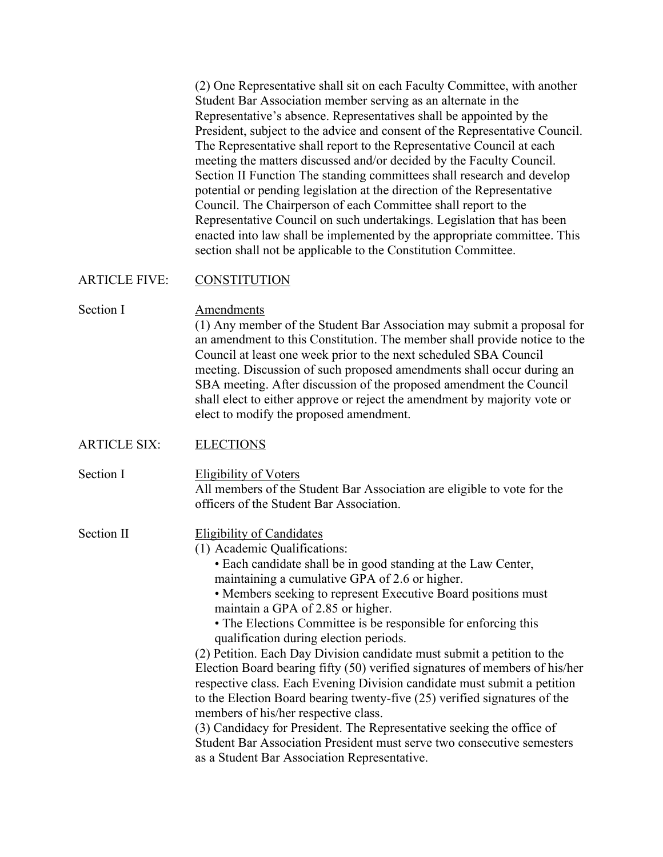(2) One Representative shall sit on each Faculty Committee, with another Student Bar Association member serving as an alternate in the Representative's absence. Representatives shall be appointed by the President, subject to the advice and consent of the Representative Council. The Representative shall report to the Representative Council at each meeting the matters discussed and/or decided by the Faculty Council. Section II Function The standing committees shall research and develop potential or pending legislation at the direction of the Representative Council. The Chairperson of each Committee shall report to the Representative Council on such undertakings. Legislation that has been enacted into law shall be implemented by the appropriate committee. This section shall not be applicable to the Constitution Committee.

### ARTICLE FIVE: CONSTITUTION

Section I Amendments

(1) Any member of the Student Bar Association may submit a proposal for an amendment to this Constitution. The member shall provide notice to the Council at least one week prior to the next scheduled SBA Council meeting. Discussion of such proposed amendments shall occur during an SBA meeting. After discussion of the proposed amendment the Council shall elect to either approve or reject the amendment by majority vote or elect to modify the proposed amendment.

- ARTICLE SIX: ELECTIONS
- Section I Eligibility of Voters All members of the Student Bar Association are eligible to vote for the officers of the Student Bar Association.
- Section II Eligibility of Candidates
	- (1) Academic Qualifications:
		- Each candidate shall be in good standing at the Law Center, maintaining a cumulative GPA of 2.6 or higher.
		- Members seeking to represent Executive Board positions must maintain a GPA of 2.85 or higher.
		- The Elections Committee is be responsible for enforcing this qualification during election periods.

(2) Petition. Each Day Division candidate must submit a petition to the Election Board bearing fifty (50) verified signatures of members of his/her respective class. Each Evening Division candidate must submit a petition to the Election Board bearing twenty-five (25) verified signatures of the members of his/her respective class.

(3) Candidacy for President. The Representative seeking the office of Student Bar Association President must serve two consecutive semesters as a Student Bar Association Representative.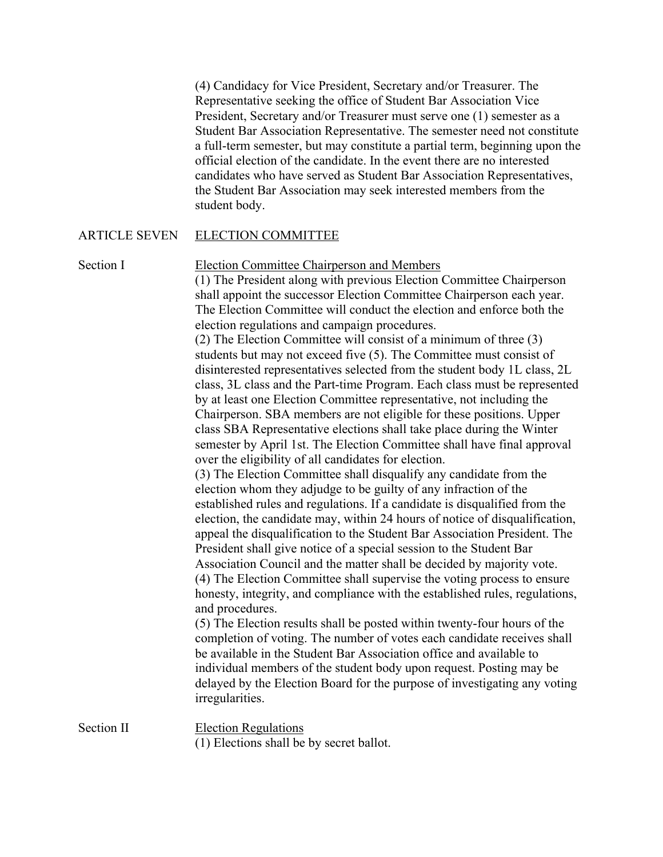(4) Candidacy for Vice President, Secretary and/or Treasurer. The Representative seeking the office of Student Bar Association Vice President, Secretary and/or Treasurer must serve one (1) semester as a Student Bar Association Representative. The semester need not constitute a full-term semester, but may constitute a partial term, beginning upon the official election of the candidate. In the event there are no interested candidates who have served as Student Bar Association Representatives, the Student Bar Association may seek interested members from the student body.

# ARTICLE SEVEN ELECTION COMMITTEE

Section I Election Committee Chairperson and Members (1) The President along with previous Election Committee Chairperson shall appoint the successor Election Committee Chairperson each year. The Election Committee will conduct the election and enforce both the election regulations and campaign procedures.

(2) The Election Committee will consist of a minimum of three (3) students but may not exceed five (5). The Committee must consist of disinterested representatives selected from the student body 1L class, 2L class, 3L class and the Part-time Program. Each class must be represented by at least one Election Committee representative, not including the Chairperson. SBA members are not eligible for these positions. Upper class SBA Representative elections shall take place during the Winter semester by April 1st. The Election Committee shall have final approval over the eligibility of all candidates for election.

(3) The Election Committee shall disqualify any candidate from the election whom they adjudge to be guilty of any infraction of the established rules and regulations. If a candidate is disqualified from the election, the candidate may, within 24 hours of notice of disqualification, appeal the disqualification to the Student Bar Association President. The President shall give notice of a special session to the Student Bar Association Council and the matter shall be decided by majority vote. (4) The Election Committee shall supervise the voting process to ensure honesty, integrity, and compliance with the established rules, regulations, and procedures.

(5) The Election results shall be posted within twenty-four hours of the completion of voting. The number of votes each candidate receives shall be available in the Student Bar Association office and available to individual members of the student body upon request. Posting may be delayed by the Election Board for the purpose of investigating any voting irregularities.

Section II Election Regulations (1) Elections shall be by secret ballot.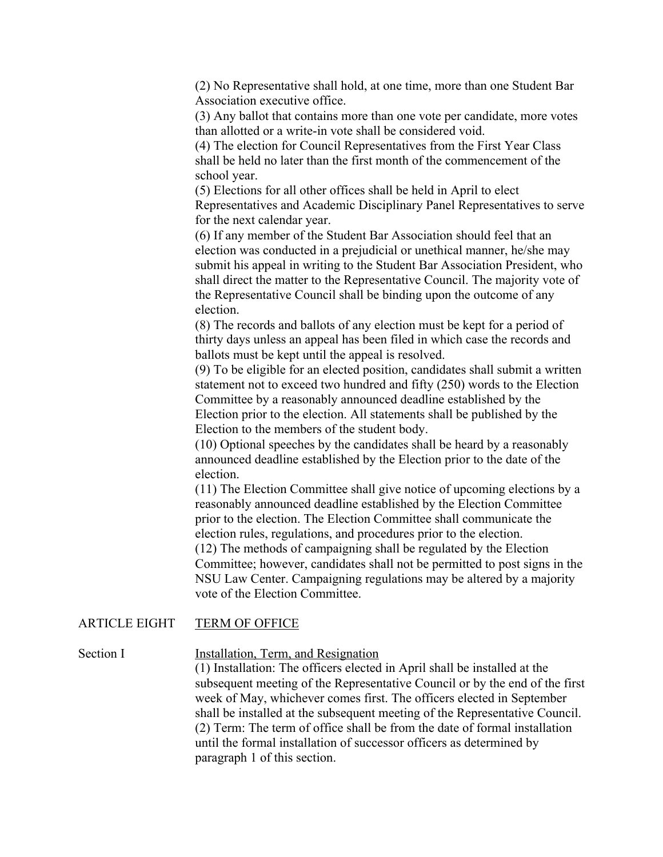(2) No Representative shall hold, at one time, more than one Student Bar Association executive office.

(3) Any ballot that contains more than one vote per candidate, more votes than allotted or a write-in vote shall be considered void.

(4) The election for Council Representatives from the First Year Class shall be held no later than the first month of the commencement of the school year.

(5) Elections for all other offices shall be held in April to elect Representatives and Academic Disciplinary Panel Representatives to serve for the next calendar year.

(6) If any member of the Student Bar Association should feel that an election was conducted in a prejudicial or unethical manner, he/she may submit his appeal in writing to the Student Bar Association President, who shall direct the matter to the Representative Council. The majority vote of the Representative Council shall be binding upon the outcome of any election.

(8) The records and ballots of any election must be kept for a period of thirty days unless an appeal has been filed in which case the records and ballots must be kept until the appeal is resolved.

(9) To be eligible for an elected position, candidates shall submit a written statement not to exceed two hundred and fifty (250) words to the Election Committee by a reasonably announced deadline established by the Election prior to the election. All statements shall be published by the Election to the members of the student body.

(10) Optional speeches by the candidates shall be heard by a reasonably announced deadline established by the Election prior to the date of the election.

(11) The Election Committee shall give notice of upcoming elections by a reasonably announced deadline established by the Election Committee prior to the election. The Election Committee shall communicate the election rules, regulations, and procedures prior to the election. (12) The methods of campaigning shall be regulated by the Election Committee; however, candidates shall not be permitted to post signs in the NSU Law Center. Campaigning regulations may be altered by a majority vote of the Election Committee.

#### ARTICLE EIGHT TERM OF OFFICE

Section I Installation, Term, and Resignation

(1) Installation: The officers elected in April shall be installed at the subsequent meeting of the Representative Council or by the end of the first week of May, whichever comes first. The officers elected in September shall be installed at the subsequent meeting of the Representative Council. (2) Term: The term of office shall be from the date of formal installation until the formal installation of successor officers as determined by paragraph 1 of this section.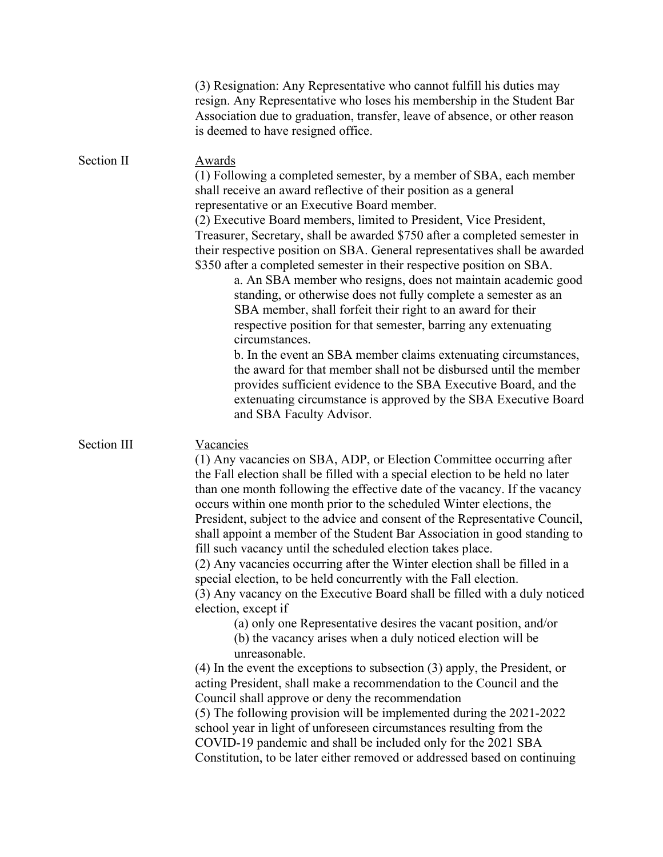|             | (3) Resignation: Any Representative who cannot fulfill his duties may<br>resign. Any Representative who loses his membership in the Student Bar<br>Association due to graduation, transfer, leave of absence, or other reason<br>is deemed to have resigned office.                                                                                                                                                                                                                                                                                                                                                                                                                                                                                                                                                                                                                                                                                                                                                                                                                                                                                                                                                                                                                                                                                                                                                                                                       |
|-------------|---------------------------------------------------------------------------------------------------------------------------------------------------------------------------------------------------------------------------------------------------------------------------------------------------------------------------------------------------------------------------------------------------------------------------------------------------------------------------------------------------------------------------------------------------------------------------------------------------------------------------------------------------------------------------------------------------------------------------------------------------------------------------------------------------------------------------------------------------------------------------------------------------------------------------------------------------------------------------------------------------------------------------------------------------------------------------------------------------------------------------------------------------------------------------------------------------------------------------------------------------------------------------------------------------------------------------------------------------------------------------------------------------------------------------------------------------------------------------|
| Section II  | <b>Awards</b><br>(1) Following a completed semester, by a member of SBA, each member<br>shall receive an award reflective of their position as a general<br>representative or an Executive Board member.<br>(2) Executive Board members, limited to President, Vice President,<br>Treasurer, Secretary, shall be awarded \$750 after a completed semester in<br>their respective position on SBA. General representatives shall be awarded<br>\$350 after a completed semester in their respective position on SBA.<br>a. An SBA member who resigns, does not maintain academic good<br>standing, or otherwise does not fully complete a semester as an<br>SBA member, shall forfeit their right to an award for their<br>respective position for that semester, barring any extenuating<br>circumstances.<br>b. In the event an SBA member claims extenuating circumstances,<br>the award for that member shall not be disbursed until the member<br>provides sufficient evidence to the SBA Executive Board, and the<br>extenuating circumstance is approved by the SBA Executive Board<br>and SBA Faculty Advisor.                                                                                                                                                                                                                                                                                                                                                     |
| Section III | Vacancies<br>(1) Any vacancies on SBA, ADP, or Election Committee occurring after<br>the Fall election shall be filled with a special election to be held no later<br>than one month following the effective date of the vacancy. If the vacancy<br>occurs within one month prior to the scheduled Winter elections, the<br>President, subject to the advice and consent of the Representative Council,<br>shall appoint a member of the Student Bar Association in good standing to<br>fill such vacancy until the scheduled election takes place.<br>(2) Any vacancies occurring after the Winter election shall be filled in a<br>special election, to be held concurrently with the Fall election.<br>(3) Any vacancy on the Executive Board shall be filled with a duly noticed<br>election, except if<br>(a) only one Representative desires the vacant position, and/or<br>(b) the vacancy arises when a duly noticed election will be<br>unreasonable.<br>$(4)$ In the event the exceptions to subsection $(3)$ apply, the President, or<br>acting President, shall make a recommendation to the Council and the<br>Council shall approve or deny the recommendation<br>(5) The following provision will be implemented during the 2021-2022<br>school year in light of unforeseen circumstances resulting from the<br>COVID-19 pandemic and shall be included only for the 2021 SBA<br>Constitution, to be later either removed or addressed based on continuing |